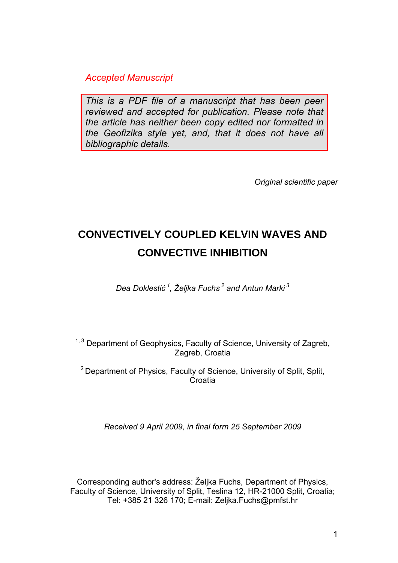*Accepted Manuscript* 

*This is a PDF file of a manuscript that has been peer reviewed and accepted for publication. Please note that the article has neither been copy edited nor formatted in the Geofizika style yet, and, that it does not have all bibliographic details.* 

*Original scientific paper* 

# **CONVECTIVELY COUPLED KELVIN WAVES AND CONVECTIVE INHIBITION**

*Dea Doklestić 1, Željka Fuchs 2 and Antun Marki 3* 

 $1, 3$  Department of Geophysics, Faculty of Science, University of Zagreb, Zagreb, Croatia

<sup>2</sup> Department of Physics, Faculty of Science, University of Split, Split, Croatia

*Received 9 April 2009, in final form 25 September 2009* 

Corresponding author's address: Željka Fuchs, Department of Physics, Faculty of Science, University of Split, Teslina 12, HR-21000 Split, Croatia; Tel: +385 21 326 170; E-mail: Zeljka.Fuchs@pmfst.hr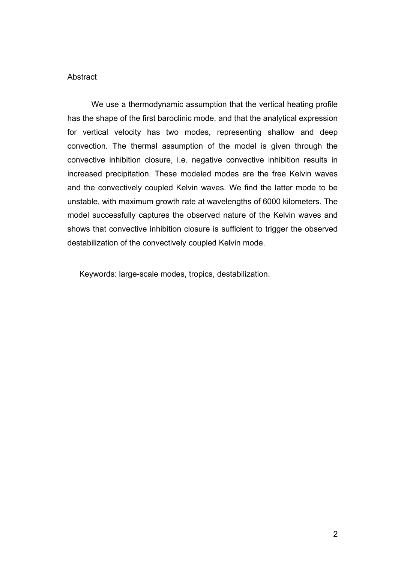#### **Abstract**

 We use a thermodynamic assumption that the vertical heating profile has the shape of the first baroclinic mode, and that the analytical expression for vertical velocity has two modes, representing shallow and deep convection. The thermal assumption of the model is given through the convective inhibition closure, i.e. negative convective inhibition results in increased precipitation. These modeled modes are the free Kelvin waves and the convectively coupled Kelvin waves. We find the latter mode to be unstable, with maximum growth rate at wavelengths of 6000 kilometers. The model successfully captures the observed nature of the Kelvin waves and shows that convective inhibition closure is sufficient to trigger the observed destabilization of the convectively coupled Kelvin mode.

Keywords: large-scale modes, tropics, destabilization.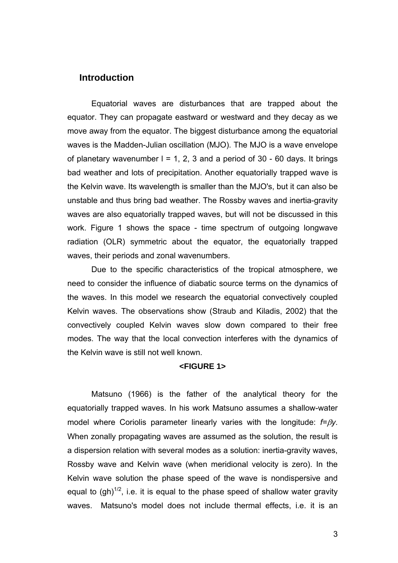### **Introduction**

 Equatorial waves are disturbances that are trapped about the equator. They can propagate eastward or westward and they decay as we move away from the equator. The biggest disturbance among the equatorial waves is the Madden-Julian oscillation (MJO). The MJO is a wave envelope of planetary wavenumber  $l = 1, 2, 3$  and a period of 30 - 60 days. It brings bad weather and lots of precipitation. Another equatorially trapped wave is the Kelvin wave. Its wavelength is smaller than the MJO's, but it can also be unstable and thus bring bad weather. The Rossby waves and inertia-gravity waves are also equatorially trapped waves, but will not be discussed in this work. Figure 1 shows the space - time spectrum of outgoing longwave radiation (OLR) symmetric about the equator, the equatorially trapped waves, their periods and zonal wavenumbers.

 Due to the specific characteristics of the tropical atmosphere, we need to consider the influence of diabatic source terms on the dynamics of the waves. In this model we research the equatorial convectively coupled Kelvin waves. The observations show (Straub and Kiladis, 2002) that the convectively coupled Kelvin waves slow down compared to their free modes. The way that the local convection interferes with the dynamics of the Kelvin wave is still not well known.

#### **<FIGURE 1>**

 Matsuno (1966) is the father of the analytical theory for the equatorially trapped waves. In his work Matsuno assumes a shallow-water model where Coriolis parameter linearly varies with the longitude: *f=*β*y*. When zonally propagating waves are assumed as the solution, the result is a dispersion relation with several modes as a solution: inertia-gravity waves, Rossby wave and Kelvin wave (when meridional velocity is zero). In the Kelvin wave solution the phase speed of the wave is nondispersive and equal to  $(gh)^{1/2}$ , i.e. it is equal to the phase speed of shallow water gravity waves. Matsuno's model does not include thermal effects, i.e. it is an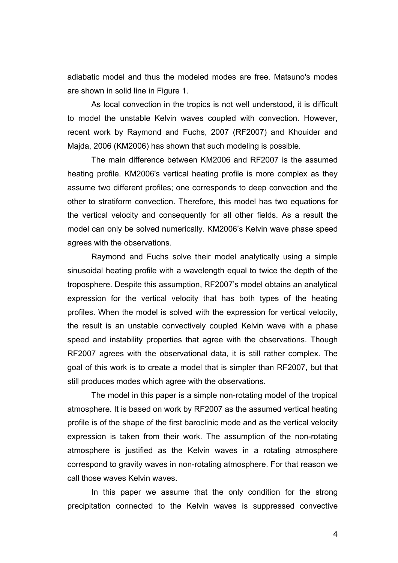adiabatic model and thus the modeled modes are free. Matsuno's modes are shown in solid line in Figure 1.

 As local convection in the tropics is not well understood, it is difficult to model the unstable Kelvin waves coupled with convection. However, recent work by Raymond and Fuchs, 2007 (RF2007) and Khouider and Majda, 2006 (KM2006) has shown that such modeling is possible.

 The main difference between KM2006 and RF2007 is the assumed heating profile. KM2006's vertical heating profile is more complex as they assume two different profiles; one corresponds to deep convection and the other to stratiform convection. Therefore, this model has two equations for the vertical velocity and consequently for all other fields. As a result the model can only be solved numerically. KM2006's Kelvin wave phase speed agrees with the observations.

 Raymond and Fuchs solve their model analytically using a simple sinusoidal heating profile with a wavelength equal to twice the depth of the troposphere. Despite this assumption, RF2007's model obtains an analytical expression for the vertical velocity that has both types of the heating profiles. When the model is solved with the expression for vertical velocity, the result is an unstable convectively coupled Kelvin wave with a phase speed and instability properties that agree with the observations. Though RF2007 agrees with the observational data, it is still rather complex. The goal of this work is to create a model that is simpler than RF2007, but that still produces modes which agree with the observations.

 The model in this paper is a simple non-rotating model of the tropical atmosphere. It is based on work by RF2007 as the assumed vertical heating profile is of the shape of the first baroclinic mode and as the vertical velocity expression is taken from their work. The assumption of the non-rotating atmosphere is justified as the Kelvin waves in a rotating atmosphere correspond to gravity waves in non-rotating atmosphere. For that reason we call those waves Kelvin waves.

 In this paper we assume that the only condition for the strong precipitation connected to the Kelvin waves is suppressed convective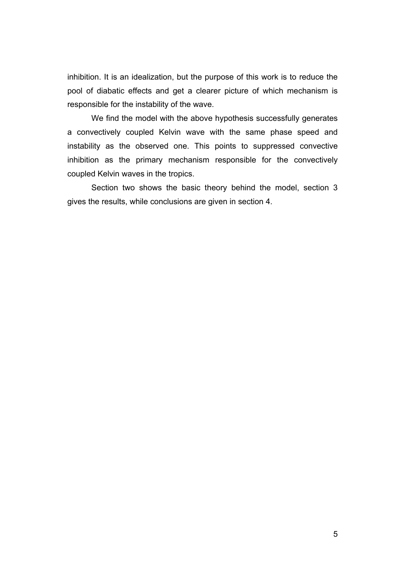inhibition. It is an idealization, but the purpose of this work is to reduce the pool of diabatic effects and get a clearer picture of which mechanism is responsible for the instability of the wave.

 We find the model with the above hypothesis successfully generates a convectively coupled Kelvin wave with the same phase speed and instability as the observed one. This points to suppressed convective inhibition as the primary mechanism responsible for the convectively coupled Kelvin waves in the tropics.

 Section two shows the basic theory behind the model, section 3 gives the results, while conclusions are given in section 4.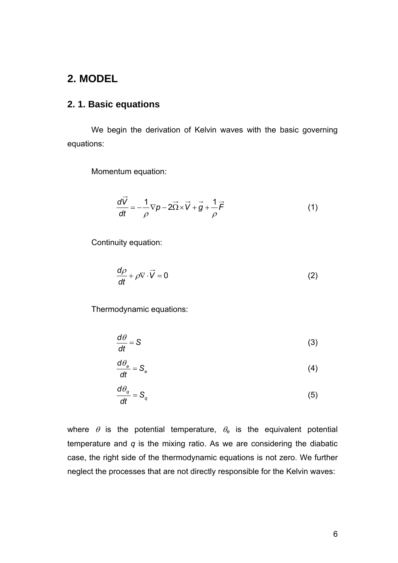# **2. MODEL**

### **2. 1. Basic equations**

 We begin the derivation of Kelvin waves with the basic governing equations:

Momentum equation:

 $\sim$  100  $\pm$ 

$$
\frac{d\vec{V}}{dt} = -\frac{1}{\rho}\nabla p - 2\vec{\Omega} \times \vec{V} + \vec{g} + \frac{1}{\rho}\vec{F}
$$
(1)

Continuity equation:

$$
\frac{d\rho}{dt} + \rho \nabla \cdot \vec{V} = 0
$$
 (2)

Thermodynamic equations:

$$
\frac{d\theta}{dt} = S \tag{3}
$$

$$
\frac{d\theta_e}{dt} = S_e \tag{4}
$$

$$
\frac{d\theta_q}{dt} = S_q \tag{5}
$$

where  $\theta$  is the potential temperature,  $\theta_e$  is the equivalent potential temperature and *q* is the mixing ratio. As we are considering the diabatic case, the right side of the thermodynamic equations is not zero. We further neglect the processes that are not directly responsible for the Kelvin waves: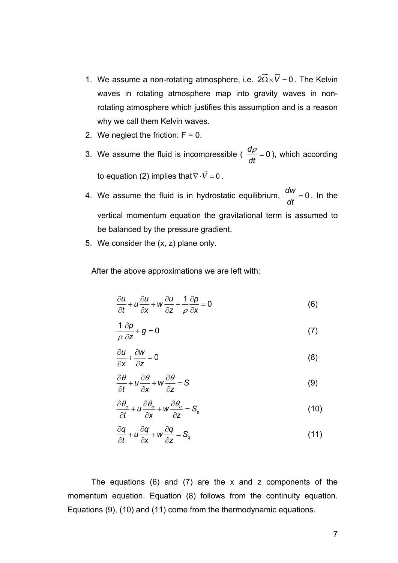- 1. We assume a non-rotating atmosphere, i.e.  $2\vec{\Omega} \times \vec{V} = 0$ . The Kelvin waves in rotating atmosphere map into gravity waves in nonrotating atmosphere which justifies this assumption and is a reason why we call them Kelvin waves.
- 2. We neglect the friction:  $F = 0$ .
- 3. We assume the fluid is incompressible ( $\frac{dp}{dt} = 0$ *dt*  $\frac{d\rho}{dt}$  = 0), which according to equation (2) implies that  $\nabla \cdot \vec{V} = 0$ .
- 4. We assume the fluid is in hydrostatic equilibrium,  $\frac{\partial w}{\partial t} = 0$ *dt*  $\frac{dw}{dt} = 0$ . In the vertical momentum equation the gravitational term is assumed to be balanced by the pressure gradient.
- 5. We consider the (x, z) plane only.

After the above approximations we are left with:

$$
\frac{\partial u}{\partial t} + u \frac{\partial u}{\partial x} + w \frac{\partial u}{\partial z} + \frac{1}{\rho} \frac{\partial p}{\partial x} = 0
$$
 (6)

$$
\frac{1}{\rho}\frac{\partial p}{\partial z} + g = 0\tag{7}
$$

$$
\frac{\partial u}{\partial x} + \frac{\partial w}{\partial z} = 0
$$
 (8)

$$
\frac{\partial \theta}{\partial t} + u \frac{\partial \theta}{\partial x} + w \frac{\partial \theta}{\partial z} = S \tag{9}
$$

$$
\frac{\partial \theta_{\mathbf{e}}}{\partial t} + u \frac{\partial \theta_{\mathbf{e}}}{\partial x} + w \frac{\partial \theta_{\mathbf{e}}}{\partial z} = S_{\mathbf{e}}
$$
(10)

$$
\frac{\partial q}{\partial t} + u \frac{\partial q}{\partial x} + w \frac{\partial q}{\partial z} = S_q \tag{11}
$$

The equations  $(6)$  and  $(7)$  are the x and z components of the momentum equation. Equation (8) follows from the continuity equation. Equations (9), (10) and (11) come from the thermodynamic equations.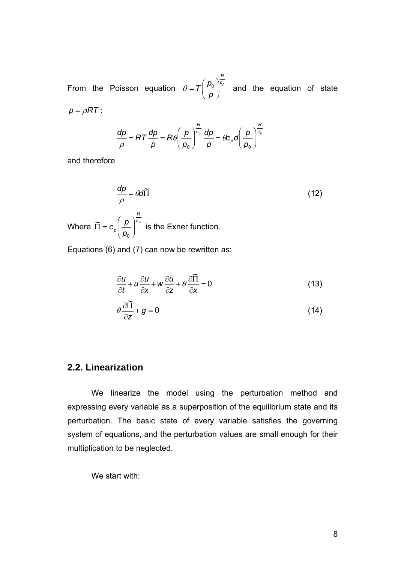From the Poisson equation  $\theta = T \left| \frac{\mu_0}{\mu_0} \right|^{1/2}$ *R*  $T\left(\frac{p_{0}}{p_{0}}\right)^{c}$  $\theta = T \left( \frac{p_0}{p} \right)^{\frac{p}{c_p}}$  and the equation of state  $p = \rho RT$  : *R*

$$
\frac{dp}{\rho} = RT \frac{dp}{p} = R\theta \left(\frac{p}{p_0}\right)^{\frac{R}{c_p}} \frac{dp}{p} = \theta c_p d \left(\frac{p}{p_0}\right)^{\frac{R}{c_p}}
$$

and therefore

$$
\frac{dp}{\rho} = \theta d\tilde{\Pi}
$$
\nWhere  $\tilde{\Pi} = c_p \left( \frac{p}{p_0} \right)^{\frac{R}{c_p}}$  is the Exner function.

Equations (6) and (7) can now be rewritten as:

$$
\frac{\partial u}{\partial t} + u \frac{\partial u}{\partial x} + w \frac{\partial u}{\partial z} + \theta \frac{\partial \widetilde{\Pi}}{\partial x} = 0
$$
\n(13)

$$
\theta \frac{\partial \widetilde{\Pi}}{\partial z} + g = 0 \tag{14}
$$

### **2.2. Linearization**

We linearize the model using the perturbation method and expressing every variable as a superposition of the equilibrium state and its perturbation. The basic state of every variable satisfies the governing system of equations, and the perturbation values are small enough for their multiplication to be neglected.

We start with: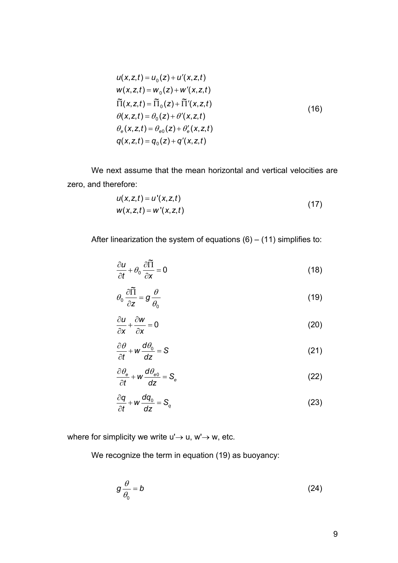$$
u(x, z, t) = u_0(z) + u'(x, z, t)
$$
  
\n
$$
w(x, z, t) = w_0(z) + w'(x, z, t)
$$
  
\n
$$
\tilde{\Pi}(x, z, t) = \tilde{\Pi}_0(z) + \tilde{\Pi}'(x, z, t)
$$
  
\n
$$
\theta(x, z, t) = \theta_0(z) + \theta'(x, z, t)
$$
  
\n
$$
\theta_e(x, z, t) = \theta_{e0}(z) + \theta'_e(x, z, t)
$$
  
\n
$$
q(x, z, t) = q_0(z) + q'(x, z, t)
$$
\n(16)

We next assume that the mean horizontal and vertical velocities are zero, and therefore:

$$
u(x, z, t) = u'(x, z, t) w(x, z, t) = w'(x, z, t)
$$
 (17)

After linearization the system of equations  $(6) - (11)$  simplifies to:

$$
\frac{\partial u}{\partial t} + \theta_0 \frac{\partial \widetilde{\Pi}}{\partial x} = 0 \tag{18}
$$

$$
\theta_0 \frac{\partial \widetilde{\Pi}}{\partial z} = g \frac{\theta}{\theta_0}
$$
 (19)

$$
\frac{\partial u}{\partial x} + \frac{\partial w}{\partial x} = 0
$$
 (20)

$$
\frac{\partial \theta}{\partial t} + w \frac{d\theta_0}{dz} = S \tag{21}
$$

$$
\frac{\partial \theta_{\mathbf{e}}}{\partial t} + w \frac{d\theta_{\mathbf{e}0}}{dz} = S_{\mathbf{e}}
$$
 (22)

$$
\frac{\partial q}{\partial t} + w \frac{dq_0}{dz} = S_q \tag{23}
$$

where for simplicity we write  $u' \rightarrow u$ ,  $w' \rightarrow w$ , etc.

We recognize the term in equation (19) as buoyancy:

$$
g\frac{\theta}{\theta_0}=b\tag{24}
$$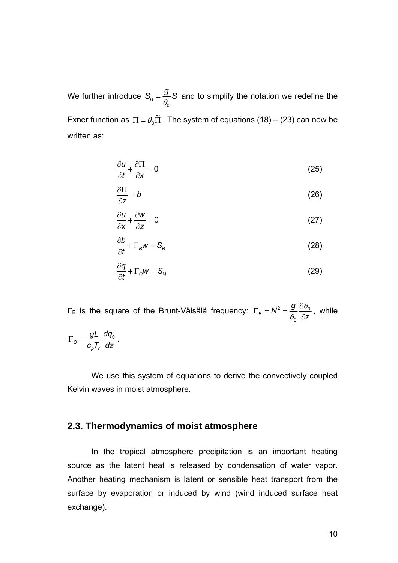We further introduce  $\overline{0}$  $S_B = \frac{g}{\theta_0} S$  and to simplify the notation we redefine the Exner function as  $\Pi=\theta_0\widetilde\Pi$  . The system of equations (18) – (23) can now be written as:

$$
\frac{\partial u}{\partial t} + \frac{\partial \Pi}{\partial x} = 0 \tag{25}
$$

$$
\frac{\partial \Pi}{\partial z} = b \tag{26}
$$

$$
\frac{\partial u}{\partial x} + \frac{\partial w}{\partial z} = 0
$$
 (27)

$$
\frac{\partial b}{\partial t} + \Gamma_B w = S_B \tag{28}
$$

$$
\frac{\partial q}{\partial t} + \Gamma_{\alpha} w = S_{\alpha} \tag{29}
$$

 $\Gamma_{\rm B}$  is the square of the Brunt-Väisälä frequency:  $\Gamma_{\rm B} = N^2 = \frac{9}{3} \frac{\sigma v_0}{\sigma}$  $\overline{0}$  $B_B = N^2 = \frac{g}{a}$ *z* θ  $\Gamma_B = N^2 = \frac{g}{\theta_0} \frac{\partial \theta_0}{\partial z}$ , while *gL dq*

$$
\Gamma_{\mathsf{Q}} = \frac{gL}{c_{\mathsf{p}}T_{\mathsf{r}}} \frac{dq_0}{dz}.
$$

 We use this system of equations to derive the convectively coupled Kelvin waves in moist atmosphere.

### **2.3. Thermodynamics of moist atmosphere**

 In the tropical atmosphere precipitation is an important heating source as the latent heat is released by condensation of water vapor. Another heating mechanism is latent or sensible heat transport from the surface by evaporation or induced by wind (wind induced surface heat exchange).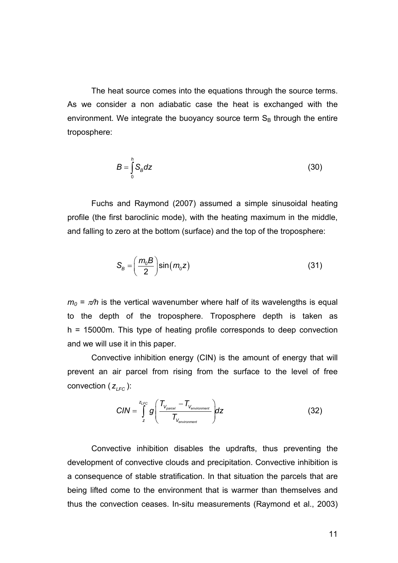The heat source comes into the equations through the source terms. As we consider a non adiabatic case the heat is exchanged with the environment. We integrate the buoyancy source term  $S_B$  through the entire troposphere:

$$
B = \int_{0}^{h} S_B dz
$$
 (30)

 Fuchs and Raymond (2007) assumed a simple sinusoidal heating profile (the first baroclinic mode), with the heating maximum in the middle, and falling to zero at the bottom (surface) and the top of the troposphere:

$$
S_B = \left(\frac{m_0 B}{2}\right) \sin(m_0 z) \tag{31}
$$

 $m_0 = \pi/h$  is the vertical wavenumber where half of its wavelengths is equal to the depth of the troposphere. Troposphere depth is taken as h = 15000m. This type of heating profile corresponds to deep convection and we will use it in this paper.

 Convective inhibition energy (CIN) is the amount of energy that will prevent an air parcel from rising from the surface to the level of free convection  $(z_{\text{rec}})$ :

$$
CIN = \int_{z}^{z_{LFC}} g\left(\frac{T_{V_{\text{parcell}}} - T_{V_{\text{environment}}}}{T_{V_{\text{environment}}}}\right) dz
$$
 (32)

 Convective inhibition disables the updrafts, thus preventing the development of convective clouds and precipitation. Convective inhibition is a consequence of stable stratification. In that situation the parcels that are being lifted come to the environment that is warmer than themselves and thus the convection ceases. In-situ measurements (Raymond et al., 2003)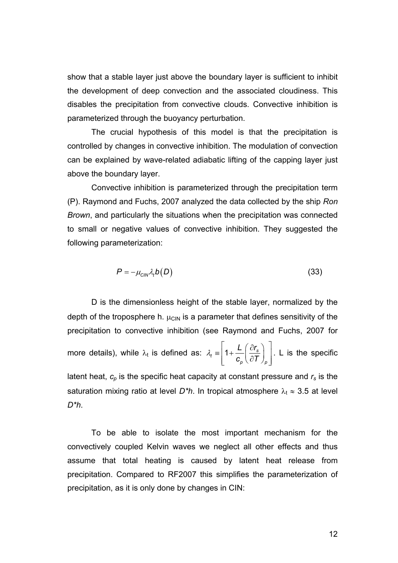show that a stable layer just above the boundary layer is sufficient to inhibit the development of deep convection and the associated cloudiness. This disables the precipitation from convective clouds. Convective inhibition is parameterized through the buoyancy perturbation.

 The crucial hypothesis of this model is that the precipitation is controlled by changes in convective inhibition. The modulation of convection can be explained by wave-related adiabatic lifting of the capping layer just above the boundary layer.

 Convective inhibition is parameterized through the precipitation term (P). Raymond and Fuchs, 2007 analyzed the data collected by the ship *Ron Brown*, and particularly the situations when the precipitation was connected to small or negative values of convective inhibition. They suggested the following parameterization:

$$
P = -\mu_{\text{CIN}} \lambda_t b(D) \tag{33}
$$

 D is the dimensionless height of the stable layer, normalized by the depth of the troposphere h.  $\mu_{\text{CIN}}$  is a parameter that defines sensitivity of the precipitation to convective inhibition (see Raymond and Fuchs, 2007 for more details), while  $\lambda_t$  is defined as:  $\lambda_t = \left| 1 + \frac{L}{c} \right| \frac{\partial I_s}{\partial T}$ *p p L (*  $\partial r$  $c_n \setminus \partial T$ λ  $\equiv \left( 1 + \frac{L}{c_{p}} \left( \frac{\partial r_{s}}{\partial T} \right)_{p} \right)$ . L is the specific latent heat,  $c_p$  is the specific heat capacity at constant pressure and  $r_s$  is the saturation mixing ratio at level  $D^*h$ . In tropical atmosphere  $\lambda_t \approx 3.5$  at level *D\*h*.

 To be able to isolate the most important mechanism for the convectively coupled Kelvin waves we neglect all other effects and thus assume that total heating is caused by latent heat release from precipitation. Compared to RF2007 this simplifies the parameterization of precipitation, as it is only done by changes in CIN: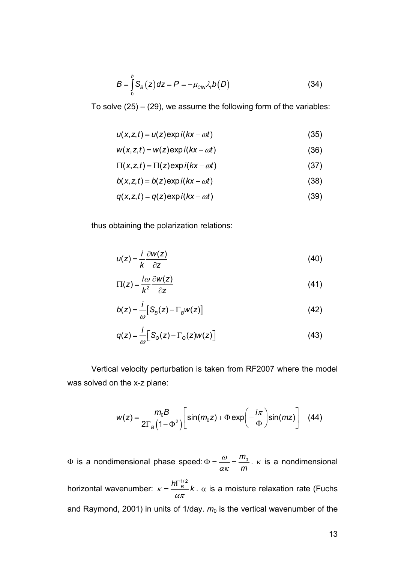$$
B = \int_{0}^{h} S_B(z) dz = P = -\mu_{\text{CIN}} \lambda_t b(D)
$$
 (34)

To solve  $(25) - (29)$ , we assume the following form of the variables:

$$
u(x, z, t) = u(z) \exp i(kx - \omega t)
$$
 (35)

$$
w(x, z, t) = w(z) \exp i(kx - \omega t)
$$
 (36)

$$
\Pi(x, z, t) = \Pi(z) \exp i(kx - \omega t)
$$
\n(37)

$$
b(x, z, t) = b(z) \exp i(kx - \omega t)
$$
\n(38)

$$
q(x, z, t) = q(z) \exp i(kx - \omega t)
$$
\n(39)

thus obtaining the polarization relations:

$$
u(z) = \frac{i}{k} \frac{\partial w(z)}{\partial z}
$$
 (40)

$$
\Pi(z) = \frac{i\omega}{k^2} \frac{\partial w(z)}{\partial z} \tag{41}
$$

$$
b(z) = \frac{i}{\omega} \Big[ S_{B}(z) - \Gamma_{B} w(z) \Big]
$$
 (42)

$$
q(z) = \frac{i}{\omega} \Big[ S_{\mathcal{Q}}(z) - \Gamma_{\mathcal{Q}}(z) w(z) \Big] \tag{43}
$$

 Vertical velocity perturbation is taken from RF2007 where the model was solved on the x-z plane:

$$
w(z) = \frac{m_0 B}{2\Gamma_B \left(1-\Phi^2\right)} \left[\sin(m_0 z) + \Phi \exp\left(-\frac{i\pi}{\Phi}\right) \sin(mz)\right] \quad (44)
$$

 $\Phi$  is a nondimensional phase speed:  $\Phi = \frac{m_{0}}{m_{0}}$ *m* ω  $\Phi = \frac{\omega}{\alpha \kappa} = \frac{m_0}{m}$ . k is a nondimensional horizontal wavenumber:  $\kappa = \frac{h\Gamma_B^{1/2}}{\alpha\pi}k$ . α is a moisture relaxation rate (Fuchs and Raymond, 2001) in units of 1/day.  $m_0$  is the vertical wavenumber of the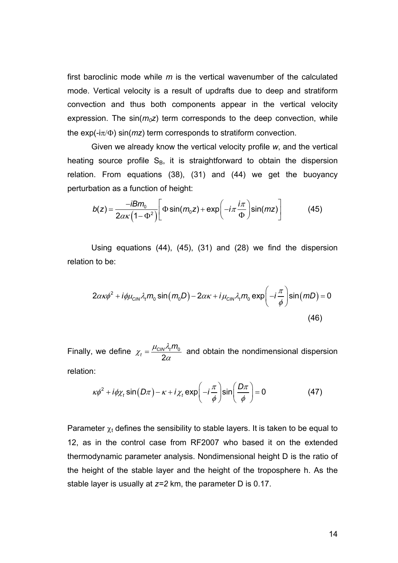first baroclinic mode while *m* is the vertical wavenumber of the calculated mode. Vertical velocity is a result of updrafts due to deep and stratiform convection and thus both components appear in the vertical velocity expression. The  $sin(m_0z)$  term corresponds to the deep convection, while the exp(-iπ/Φ) sin(*mz*) term corresponds to stratiform convection.

 Given we already know the vertical velocity profile *w*, and the vertical heating source profile  $S_B$ , it is straightforward to obtain the dispersion relation. From equations (38), (31) and (44) we get the buoyancy perturbation as a function of height:

$$
b(z) = \frac{-iBm_0}{2\alpha\kappa(1-\Phi^2)} \left[ \Phi \sin(m_0 z) + \exp\left(-i\pi \frac{i\pi}{\Phi}\right) \sin(mz) \right]
$$
(45)

 Using equations (44), (45), (31) and (28) we find the dispersion relation to be:

$$
2\alpha\kappa\phi^2 + i\phi\mu_{\text{CIN}}\lambda_t m_0 \sin(m_0 D) - 2\alpha\kappa + i\mu_{\text{CIN}}\lambda_t m_0 \exp\left(-i\frac{\pi}{\phi}\right) \sin(mD) = 0
$$
\n(46)

Finally, we define  $\chi_t = \frac{\mu_{CIN} \nu_t m_0}{2}$ 2  $\tau_t = \frac{\mu_{\text{CIN}}}{2}$  $\chi_t = \frac{\mu_{\text{CIN}} \lambda_t m_0}{2\alpha}$  and obtain the nondimensional dispersion relation:

$$
\kappa \phi^2 + i \phi \chi_t \sin(D\pi) - \kappa + i \chi_t \exp\left(-i \frac{\pi}{\phi}\right) \sin\left(\frac{D\pi}{\phi}\right) = 0
$$
 (47)

Parameter  $\chi_t$  defines the sensibility to stable layers. It is taken to be equal to 12, as in the control case from RF2007 who based it on the extended thermodynamic parameter analysis. Nondimensional height D is the ratio of the height of the stable layer and the height of the troposphere h. As the stable layer is usually at *z=2* km, the parameter D is 0.17.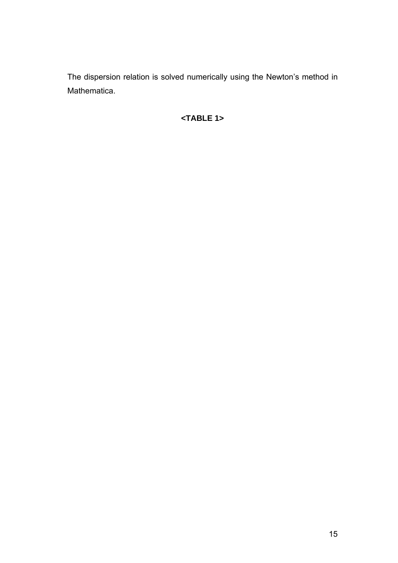The dispersion relation is solved numerically using the Newton's method in Mathematica.

# **<TABLE 1>**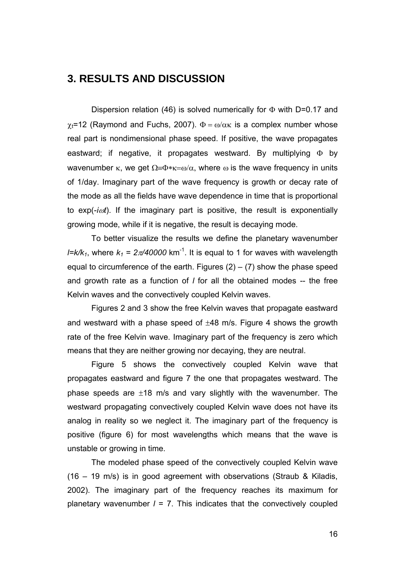# **3. RESULTS AND DISCUSSION**

Dispersion relation (46) is solved numerically for  $\Phi$  with D=0.17 and  $\chi_t$ =12 (Raymond and Fuchs, 2007).  $\Phi = \omega/\alpha$  is a complex number whose real part is nondimensional phase speed. If positive, the wave propagates eastward; if negative, it propagates westward. By multiplying  $\Phi$  by wavenumber  $\kappa$ , we get  $\Omega = \Phi \ast \kappa = \omega/\alpha$ , where  $\omega$  is the wave frequency in units of 1/day. Imaginary part of the wave frequency is growth or decay rate of the mode as all the fields have wave dependence in time that is proportional to exp(-*i*ω*t*). If the imaginary part is positive, the result is exponentially growing mode, while if it is negative, the result is decaying mode.

 To better visualize the results we define the planetary wavenumber *l=k/k<sub>1</sub>*, where  $k_1 = 2\pi/40000$  km<sup>-1</sup>. It is equal to 1 for waves with wavelength equal to circumference of the earth. Figures  $(2) - (7)$  show the phase speed and growth rate as a function of *l* for all the obtained modes -- the free Kelvin waves and the convectively coupled Kelvin waves.

 Figures 2 and 3 show the free Kelvin waves that propagate eastward and westward with a phase speed of  $\pm 48$  m/s. Figure 4 shows the growth rate of the free Kelvin wave. Imaginary part of the frequency is zero which means that they are neither growing nor decaying, they are neutral.

 Figure 5 shows the convectively coupled Kelvin wave that propagates eastward and figure 7 the one that propagates westward. The phase speeds are  $\pm 18$  m/s and vary slightly with the wavenumber. The westward propagating convectively coupled Kelvin wave does not have its analog in reality so we neglect it. The imaginary part of the frequency is positive (figure 6) for most wavelengths which means that the wave is unstable or growing in time.

 The modeled phase speed of the convectively coupled Kelvin wave (16 – 19 m/s) is in good agreement with observations (Straub & Kiladis, 2002). The imaginary part of the frequency reaches its maximum for planetary wavenumber *l* = 7. This indicates that the convectively coupled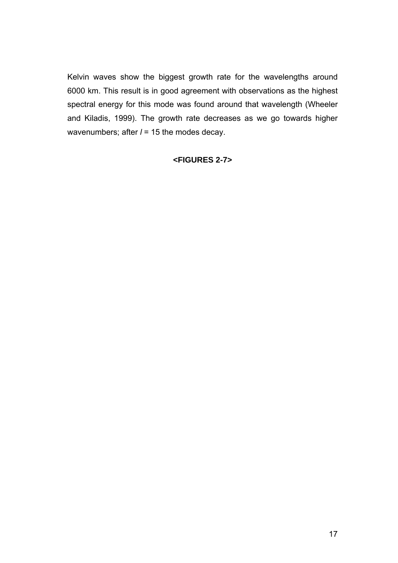Kelvin waves show the biggest growth rate for the wavelengths around 6000 km. This result is in good agreement with observations as the highest spectral energy for this mode was found around that wavelength (Wheeler and Kiladis, 1999). The growth rate decreases as we go towards higher wavenumbers; after  $l = 15$  the modes decay.

### **<FIGURES 2-7>**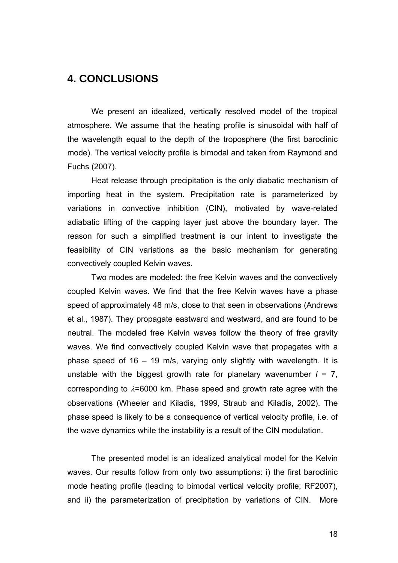# **4. CONCLUSIONS**

 We present an idealized, vertically resolved model of the tropical atmosphere. We assume that the heating profile is sinusoidal with half of the wavelength equal to the depth of the troposphere (the first baroclinic mode). The vertical velocity profile is bimodal and taken from Raymond and Fuchs (2007).

 Heat release through precipitation is the only diabatic mechanism of importing heat in the system. Precipitation rate is parameterized by variations in convective inhibition (CIN), motivated by wave-related adiabatic lifting of the capping layer just above the boundary layer. The reason for such a simplified treatment is our intent to investigate the feasibility of CIN variations as the basic mechanism for generating convectively coupled Kelvin waves.

 Two modes are modeled: the free Kelvin waves and the convectively coupled Kelvin waves. We find that the free Kelvin waves have a phase speed of approximately 48 m/s, close to that seen in observations (Andrews et al., 1987). They propagate eastward and westward, and are found to be neutral. The modeled free Kelvin waves follow the theory of free gravity waves. We find convectively coupled Kelvin wave that propagates with a phase speed of 16 – 19 m/s, varying only slightly with wavelength. It is unstable with the biggest growth rate for planetary wavenumber  $l = 7$ , corresponding to  $\lambda$ =6000 km. Phase speed and growth rate agree with the observations (Wheeler and Kiladis, 1999, Straub and Kiladis, 2002). The phase speed is likely to be a consequence of vertical velocity profile, i.e. of the wave dynamics while the instability is a result of the CIN modulation.

 The presented model is an idealized analytical model for the Kelvin waves. Our results follow from only two assumptions: i) the first baroclinic mode heating profile (leading to bimodal vertical velocity profile; RF2007), and ii) the parameterization of precipitation by variations of CIN. More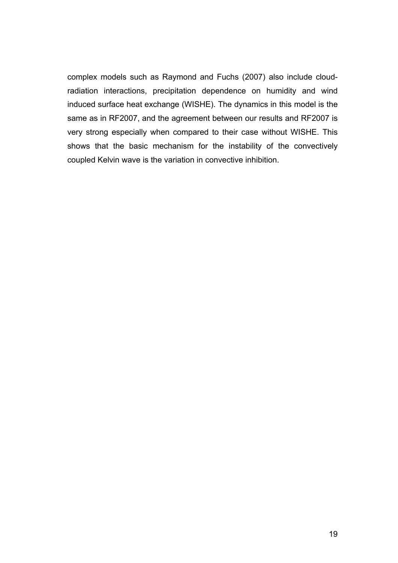complex models such as Raymond and Fuchs (2007) also include cloudradiation interactions, precipitation dependence on humidity and wind induced surface heat exchange (WISHE). The dynamics in this model is the same as in RF2007, and the agreement between our results and RF2007 is very strong especially when compared to their case without WISHE. This shows that the basic mechanism for the instability of the convectively coupled Kelvin wave is the variation in convective inhibition.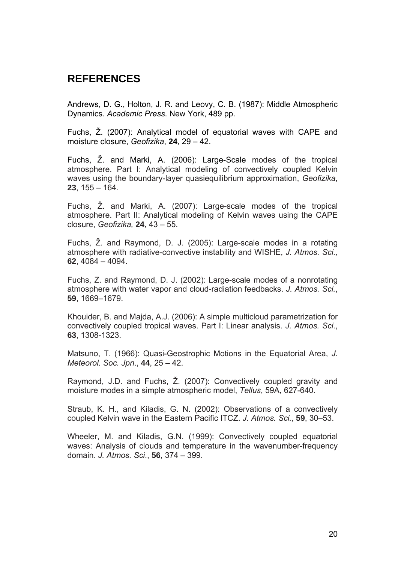# **REFERENCES**

Andrews, D. G., Holton, J. R. and Leovy, C. B. (1987): Middle Atmospheric Dynamics. *Academic Press*. New York, 489 pp.

Fuchs, Ž. (2007): Analytical model of equatorial waves with CAPE and moisture closure, *Geofizika*, **24**, 29 – 42.

Fuchs, Ž. and Marki, A. (2006): Large-Scale modes of the tropical atmosphere. Part I: Analytical modeling of convectively coupled Kelvin waves using the boundary-layer quasiequilibrium approximation, *Geofizika*, **23**, 155 – 164.

Fuchs, Ž. and Marki, A. (2007): Large-scale modes of the tropical atmosphere. Part II: Analytical modeling of Kelvin waves using the CAPE closure, *Geofizika,* **24**, 43 – 55.

Fuchs, Ž. and Raymond, D. J. (2005): Large-scale modes in a rotating atmosphere with radiative-convective instability and WISHE, *J. Atmos. Sci.,* **62**, 4084 – 4094.

Fuchs, Z. and Raymond, D. J. (2002): Large-scale modes of a nonrotating atmosphere with water vapor and cloud-radiation feedbacks. *J. Atmos. Sci.*, **59**, 1669–1679.

Khouider, B. and Majda, A.J. (2006): A simple multicloud parametrization for convectively coupled tropical waves. Part I: Linear analysis. *J. Atmos. Sci*., **63**, 1308-1323.

Matsuno, T. (1966): Quasi-Geostrophic Motions in the Equatorial Area, *J. Meteorol. Soc. Jpn*., **44**, 25 – 42.

Raymond, J.D. and Fuchs, Ž. (2007): Convectively coupled gravity and moisture modes in a simple atmospheric model, *Tellus*, 59A, 627-640.

Straub, K. H., and Kiladis, G. N. (2002): Observations of a convectively coupled Kelvin wave in the Eastern Pacific ITCZ. *J. Atmos. Sci.*, **59**, 30–53.

Wheeler, M. and Kiladis, G.N. (1999): Convectively coupled equatorial waves: Analysis of clouds and temperature in the wavenumber-frequency domain. *J. Atmos. Sci*., **56**, 374 – 399.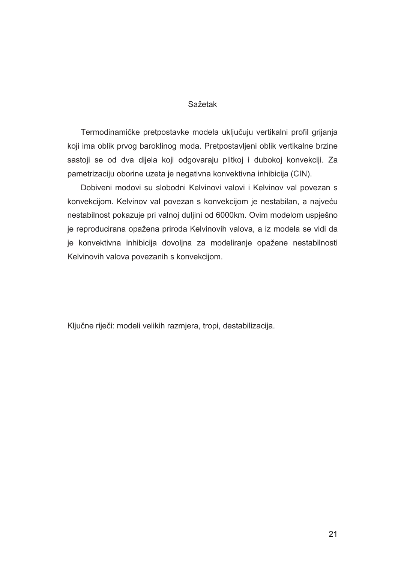#### Sažetak

 Termodinamičke pretpostavke modela uključuju vertikalni profil grijanja koji ima oblik prvog baroklinog moda. Pretpostavljeni oblik vertikalne brzine sastoji se od dva dijela koji odgovaraju plitkoj i dubokoj konvekciji. Za pametrizaciju oborine uzeta je negativna konvektivna inhibicija (CIN).

 Dobiveni modovi su slobodni Kelvinovi valovi i Kelvinov val povezan s konvekcijom. Kelvinov val povezan s konvekcijom je nestabilan, a najveću nestabilnost pokazuje pri valnoj duljini od 6000km. Ovim modelom uspješno je reproducirana opažena priroda Kelvinovih valova, a iz modela se vidi da je konvektivna inhibicija dovoljna za modeliranje opažene nestabilnosti Kelvinovih valova povezanih s konvekcijom.

Ključne riječi: modeli velikih razmjera, tropi, destabilizacija.